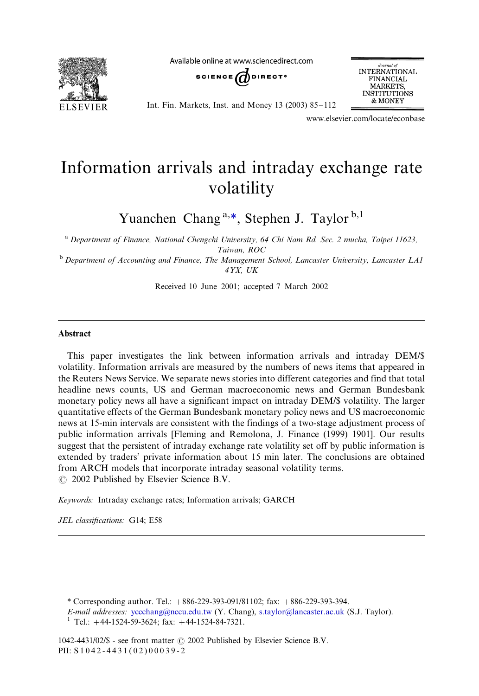

Available online at www.sciencedirect.com





Int. Fin. Markets, Inst. and Money 13 (2003) 85-/112

www.elsevier.com/locate/econbase

## Information arrivals and intraday exchange rate volatility

Yuanchen Chang<sup>a,\*</sup>, Stephen J. Taylor<sup>b,1</sup>

<sup>a</sup> Department of Finance, National Chengchi University, 64 Chi Nam Rd. Sec. 2 mucha, Taipei 11623, Taiwan, ROC

<sup>b</sup> Department of Accounting and Finance, The Management School, Lancaster University, Lancaster LA1 4YX, UK

Received 10 June 2001; accepted 7 March 2002

## Abstract

This paper investigates the link between information arrivals and intraday DEM/\$ volatility. Information arrivals are measured by the numbers of news items that appeared in the Reuters News Service. We separate news stories into different categories and find that total headline news counts, US and German macroeconomic news and German Bundesbank monetary policy news all have a significant impact on intraday DEM/\$ volatility. The larger quantitative effects of the German Bundesbank monetary policy news and US macroeconomic news at 15-min intervals are consistent with the findings of a two-stage adjustment process of public information arrivals [Fleming and Remolona, J. Finance (1999) 1901]. Our results suggest that the persistent of intraday exchange rate volatility set off by public information is extended by traders' private information about 15 min later. The conclusions are obtained from ARCH models that incorporate intraday seasonal volatility terms.  $\odot$  2002 Published by Elsevier Science B.V.

Keywords: Intraday exchange rates; Information arrivals; GARCH

JEL classifications: G14; E58

\* Corresponding author. Tel.:  $+886-229-393-091/81102$ ; fax:  $+886-229-393-394$ . E-mail addresses: [yccchang@nccu.edu.tw](mailto:yccchang@nccu.edu.tw) (Y. Chang), [s.taylor@lancaster.ac.uk](mailto:s.taylor@lancaster.ac.uk) (S.J. Taylor). <sup>1</sup> Tel.: +44-1524-59-3624; fax: +44-1524-84-7321.

1042-4431/02/\$ - see front matter © 2002 Published by Elsevier Science B.V. PII: S 1 0 4 2 - 4 4 3 1 ( 0 2 ) 0 0 0 3 9 - 2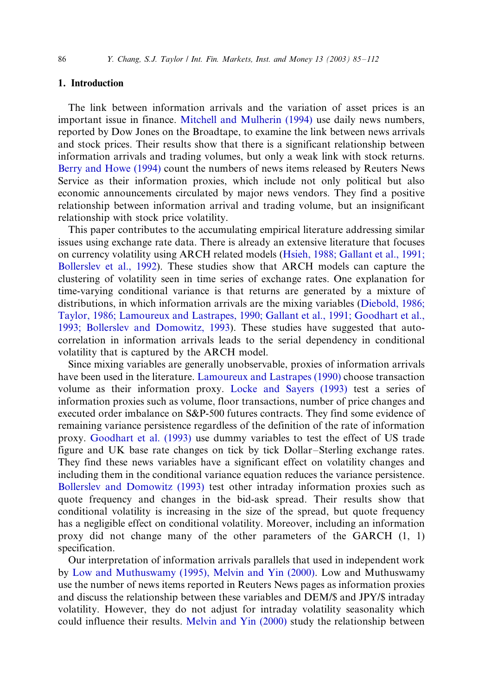## 1. Introduction

The link between information arrivals and the variation of asset prices is an important issue in finance. [Mitchell and Mulherin \(1994\)](#page--1-0) use daily news numbers, reported by Dow Jones on the Broadtape, to examine the link between news arrivals and stock prices. Their results show that there is a significant relationship between information arrivals and trading volumes, but only a weak link with stock returns. [Berry and Howe \(1994\)](#page--1-0) count the numbers of news items released by Reuters News Service as their information proxies, which include not only political but also economic announcements circulated by major news vendors. They find a positive relationship between information arrival and trading volume, but an insignificant relationship with stock price volatility.

This paper contributes to the accumulating empirical literature addressing similar issues using exchange rate data. There is already an extensive literature that focuses on currency volatility using ARCH related models [\(Hsieh, 1988; Gallant et al., 1991;](#page--1-0) Bollerslev [et al., 1992](#page--1-0)). These studies show that ARCH models can capture the clustering of volatility seen in time series of exchange rates. One explanation for time-varying conditional variance is that returns are generated by a mixture of distributions, in which information arrivals are the mixing variables ([Diebold, 1986;](#page--1-0) [Taylor, 1986; Lamoureux and Lastrapes, 1990; Gallant et al., 1991; Goodhart et al.,](#page--1-0) 1993; Bollerslev [and Domowitz, 1993\)](#page--1-0). These studies have suggested that autocorrelation in information arrivals leads to the serial dependency in conditional volatility that is captured by the ARCH model.

Since mixing variables are generally unobservable, proxies of information arrivals have been used in the literature. [Lamoureux and Lastrapes \(1990\)](#page--1-0) choose transaction volume as their information proxy. [Locke and Sayers \(1993\)](#page--1-0) test a series of information proxies such as volume, floor transactions, number of price changes and executed order imbalance on S&P-500 futures contracts. They find some evidence of remaining variance persistence regardless of the definition of the rate of information proxy. [Goodhart et al. \(1993\)](#page--1-0) use dummy variables to test the effect of US trade figure and UK base rate changes on tick by tick Dollar-Sterling exchange rates. They find these news variables have a significant effect on volatility changes and including them in the conditional variance equation reduces the variance persistence. Bollerslev [and Domowitz \(1993\)](#page--1-0) test other intraday information proxies such as quote frequency and changes in the bid-ask spread. Their results show that conditional volatility is increasing in the size of the spread, but quote frequency has a negligible effect on conditional volatility. Moreover, including an information proxy did not change many of the other parameters of the GARCH (1, 1) specification.

Our interpretation of information arrivals parallels that used in independent work by [Low and Muthuswamy \(1995\), Mel](#page--1-0)vin and Yin (2000). Low and Muthuswamy use the number of news items reported in Reuters News pages as information proxies and discuss the relationship between these variables and DEM/\$ and JPY/\$ intraday volatility. However, they do not adjust for intraday volatility seasonality which could influence their results. Melv[in and Yin \(2000\)](#page--1-0) study the relationship between